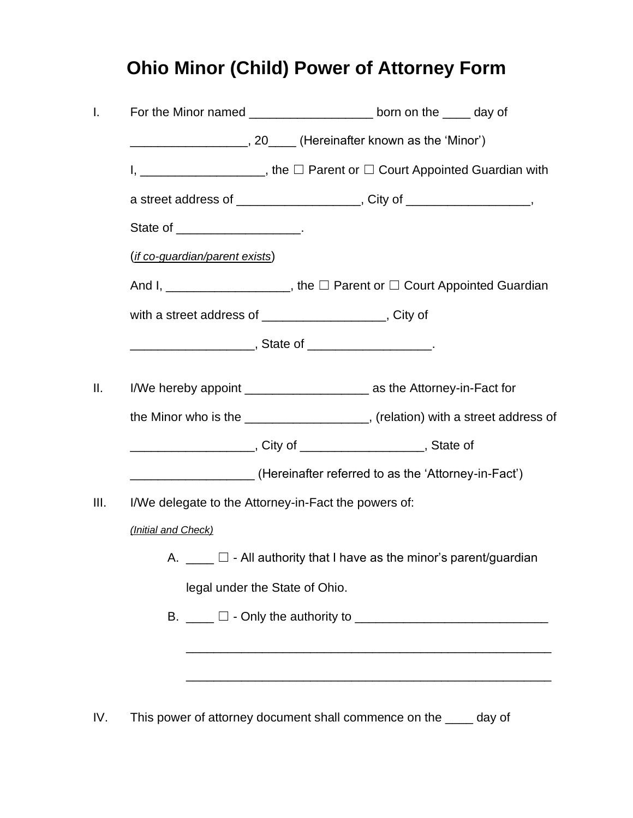## **Ohio Minor (Child) Power of Attorney Form**

|                                         | For the Minor named _______________________ born on the _____ day of          |  |  |  |  |
|-----------------------------------------|-------------------------------------------------------------------------------|--|--|--|--|
|                                         | ______________________, 20_____ (Hereinafter known as the 'Minor')            |  |  |  |  |
|                                         | I, _____________________, the □ Parent or □ Court Appointed Guardian with     |  |  |  |  |
|                                         | a street address of ____________________, City of __________________,         |  |  |  |  |
|                                         | State of _____________________.                                               |  |  |  |  |
| ( <i>if co-guardian/parent exists</i> ) |                                                                               |  |  |  |  |
|                                         | And I, _____________________, the □ Parent or □ Court Appointed Guardian      |  |  |  |  |
|                                         | with a street address of ____________________, City of                        |  |  |  |  |
|                                         |                                                                               |  |  |  |  |
|                                         |                                                                               |  |  |  |  |
|                                         | I/We hereby appoint _________________________ as the Attorney-in-Fact for     |  |  |  |  |
|                                         | the Minor who is the ___________________, (relation) with a street address of |  |  |  |  |
|                                         | _________________________, City of _______________________, State of          |  |  |  |  |
|                                         | ____________________(Hereinafter referred to as the 'Attorney-in-Fact')       |  |  |  |  |
|                                         | I/We delegate to the Attorney-in-Fact the powers of:                          |  |  |  |  |
| (Initial and Check)                     |                                                                               |  |  |  |  |
| Α.                                      | $\square$ - All authority that I have as the minor's parent/guardian          |  |  |  |  |
|                                         | legal under the State of Ohio.                                                |  |  |  |  |
|                                         |                                                                               |  |  |  |  |
|                                         |                                                                               |  |  |  |  |
|                                         |                                                                               |  |  |  |  |
|                                         |                                                                               |  |  |  |  |
|                                         |                                                                               |  |  |  |  |

IV. This power of attorney document shall commence on the \_\_\_\_ day of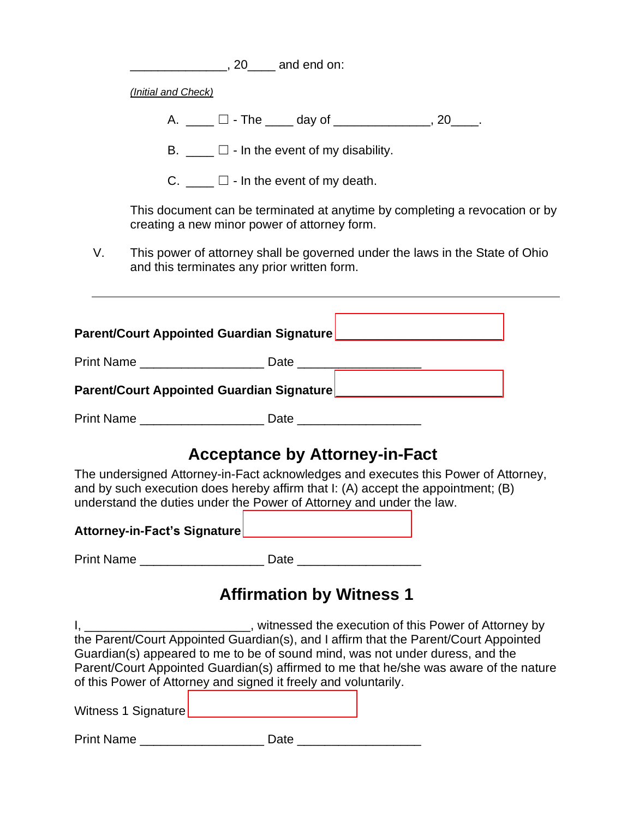|                                                                                                                                                                                                                                                | <u>______________</u> , 20____ and end on:                                                                                                                                                                                                                                                                                                                                                                                  |  |  |  |  |
|------------------------------------------------------------------------------------------------------------------------------------------------------------------------------------------------------------------------------------------------|-----------------------------------------------------------------------------------------------------------------------------------------------------------------------------------------------------------------------------------------------------------------------------------------------------------------------------------------------------------------------------------------------------------------------------|--|--|--|--|
|                                                                                                                                                                                                                                                | (Initial and Check)                                                                                                                                                                                                                                                                                                                                                                                                         |  |  |  |  |
|                                                                                                                                                                                                                                                | A. ____ □ - The ____ day of ______________, 20____.                                                                                                                                                                                                                                                                                                                                                                         |  |  |  |  |
|                                                                                                                                                                                                                                                | B. $\Box$ $\Box$ - In the event of my disability.                                                                                                                                                                                                                                                                                                                                                                           |  |  |  |  |
|                                                                                                                                                                                                                                                | C. $\Box$ $\Box$ - In the event of my death.                                                                                                                                                                                                                                                                                                                                                                                |  |  |  |  |
|                                                                                                                                                                                                                                                | This document can be terminated at anytime by completing a revocation or by<br>creating a new minor power of attorney form.                                                                                                                                                                                                                                                                                                 |  |  |  |  |
| V.                                                                                                                                                                                                                                             | This power of attorney shall be governed under the laws in the State of Ohio<br>and this terminates any prior written form.                                                                                                                                                                                                                                                                                                 |  |  |  |  |
|                                                                                                                                                                                                                                                | Parent/Court Appointed Guardian Signature Manuscription of the County of Parameters                                                                                                                                                                                                                                                                                                                                         |  |  |  |  |
|                                                                                                                                                                                                                                                | Print Name __________________________ Date _______________________                                                                                                                                                                                                                                                                                                                                                          |  |  |  |  |
|                                                                                                                                                                                                                                                |                                                                                                                                                                                                                                                                                                                                                                                                                             |  |  |  |  |
|                                                                                                                                                                                                                                                | Print Name ____________________________ Date ___________________________________                                                                                                                                                                                                                                                                                                                                            |  |  |  |  |
|                                                                                                                                                                                                                                                | <b>Acceptance by Attorney-in-Fact</b>                                                                                                                                                                                                                                                                                                                                                                                       |  |  |  |  |
| The undersigned Attorney-in-Fact acknowledges and executes this Power of Attorney,<br>and by such execution does hereby affirm that I: (A) accept the appointment; (B)<br>understand the duties under the Power of Attorney and under the law. |                                                                                                                                                                                                                                                                                                                                                                                                                             |  |  |  |  |
|                                                                                                                                                                                                                                                | Attorney-in-Fact's Signature ___________________________                                                                                                                                                                                                                                                                                                                                                                    |  |  |  |  |
|                                                                                                                                                                                                                                                | Print Name ____________________________ Date ___________________________________                                                                                                                                                                                                                                                                                                                                            |  |  |  |  |
|                                                                                                                                                                                                                                                | <b>Affirmation by Witness 1</b>                                                                                                                                                                                                                                                                                                                                                                                             |  |  |  |  |
|                                                                                                                                                                                                                                                | I, _____________________________, witnessed the execution of this Power of Attorney by<br>the Parent/Court Appointed Guardian(s), and I affirm that the Parent/Court Appointed<br>Guardian(s) appeared to me to be of sound mind, was not under duress, and the<br>Parent/Court Appointed Guardian(s) affirmed to me that he/she was aware of the nature<br>of this Power of Attorney and signed it freely and voluntarily. |  |  |  |  |
|                                                                                                                                                                                                                                                |                                                                                                                                                                                                                                                                                                                                                                                                                             |  |  |  |  |
|                                                                                                                                                                                                                                                | Print Name ____________________________ Date _______________________                                                                                                                                                                                                                                                                                                                                                        |  |  |  |  |